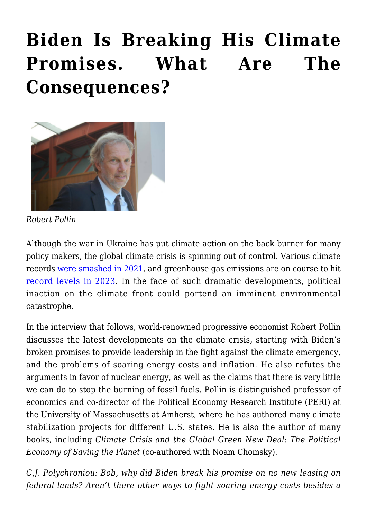## **[Biden Is Breaking His Climate](https://rozenbergquarterly.com/biden-is-breaking-his-climate-promises-what-are-the-consequences/) [Promises. What Are The](https://rozenbergquarterly.com/biden-is-breaking-his-climate-promises-what-are-the-consequences/) [Consequences?](https://rozenbergquarterly.com/biden-is-breaking-his-climate-promises-what-are-the-consequences/)**



*Robert Pollin*

Although the war in Ukraine has put climate action on the back burner for many policy makers, the global climate crisis is spinning out of control. Various climate records [were smashed in 2021](https://www.weforum.org/agenda/2022/05/8-climate-change-records-world-2021/), and greenhouse gas emissions are on course to hit [record levels in 2023](https://www.cnbc.com/2021/07/20/co2-emissions-will-hit-record-levels-in-2023-iea-says.html). In the face of such dramatic developments, political inaction on the climate front could portend an imminent environmental catastrophe.

In the interview that follows, world-renowned progressive economist Robert Pollin discusses the latest developments on the climate crisis, starting with Biden's broken promises to provide leadership in the fight against the climate emergency, and the problems of soaring energy costs and inflation. He also refutes the arguments in favor of nuclear energy, as well as the claims that there is very little we can do to stop the burning of fossil fuels. Pollin is distinguished professor of economics and co-director of the Political Economy Research Institute (PERI) at the University of Massachusetts at Amherst, where he has authored many climate stabilization projects for different U.S. states. He is also the author of many books, including *Climate Crisis and the Global Green New Deal*: *The Political Economy of Saving the Planet* (co-authored with Noam Chomsky).

*C.J. Polychroniou: Bob, why did Biden break his promise on no new leasing on federal lands? Aren't there other ways to fight soaring energy costs besides a*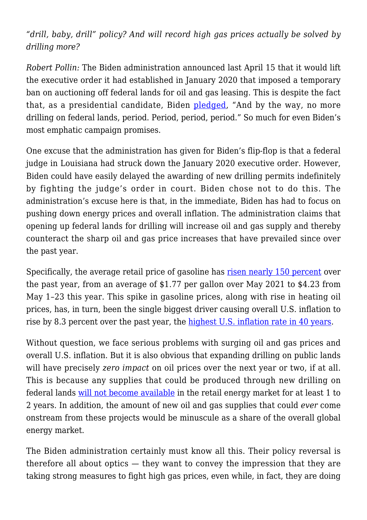## *"drill, baby, drill" policy? And will record high gas prices actually be solved by drilling more?*

*Robert Pollin:* The Biden administration announced last April 15 that it would lift the executive order it had established in January 2020 that imposed a temporary ban on auctioning off federal lands for oil and gas leasing. This is despite the fact that, as a presidential candidate, Biden [pledged](https://www.nytimes.com/2022/04/15/climate/biden-drilling-oil-leases.html), "And by the way, no more drilling on federal lands, period. Period, period, period." So much for even Biden's most emphatic campaign promises.

One excuse that the administration has given for Biden's flip-flop is that a federal judge in Louisiana had struck down the January 2020 executive order. However, Biden could have easily delayed the awarding of new drilling permits indefinitely by fighting the judge's order in court. Biden chose not to do this. The administration's excuse here is that, in the immediate, Biden has had to focus on pushing down energy prices and overall inflation. The administration claims that opening up federal lands for drilling will increase oil and gas supply and thereby counteract the sharp oil and gas price increases that have prevailed since over the past year.

Specifically, the average retail price of gasoline has [risen nearly 150 percent](https://fred.stlouisfed.org/series/GASREGCOVW) over the past year, from an average of \$1.77 per gallon over May 2021 to \$4.23 from May 1–23 this year. This spike in gasoline prices, along with rise in heating oil prices, has, in turn, been the single biggest driver causing overall U.S. inflation to rise by 8.3 percent over the past year, the [highest U.S. inflation rate in 40 years.](https://www.bls.gov/cpi/)

Without question, we face serious problems with surging oil and gas prices and overall U.S. inflation. But it is also obvious that expanding drilling on public lands will have precisely *zero impact* on oil prices over the next year or two, if at all. This is because any supplies that could be produced through new drilling on federal lands [will not become available](https://www.eia.gov/todayinenergy/detail.php?id=41253) in the retail energy market for at least 1 to 2 years. In addition, the amount of new oil and gas supplies that could *ever* come onstream from these projects would be minuscule as a share of the overall global energy market.

The Biden administration certainly must know all this. Their policy reversal is therefore all about optics — they want to convey the impression that they are taking strong measures to fight high gas prices, even while, in fact, they are doing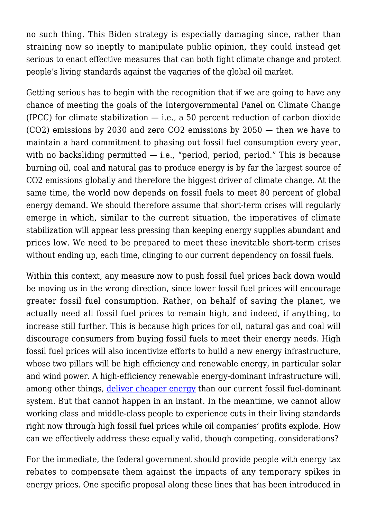no such thing. This Biden strategy is especially damaging since, rather than straining now so ineptly to manipulate public opinion, they could instead get serious to enact effective measures that can both fight climate change and protect people's living standards against the vagaries of the global oil market.

Getting serious has to begin with the recognition that if we are going to have any chance of meeting the goals of the Intergovernmental Panel on Climate Change (IPCC) for climate stabilization  $-$  i.e., a 50 percent reduction of carbon dioxide (CO2) emissions by 2030 and zero CO2 emissions by 2050 — then we have to maintain a hard commitment to phasing out fossil fuel consumption every year, with no backsliding permitted  $-$  i.e., "period, period, period." This is because burning oil, coal and natural gas to produce energy is by far the largest source of CO2 emissions globally and therefore the biggest driver of climate change. At the same time, the world now depends on fossil fuels to meet 80 percent of global energy demand. We should therefore assume that short-term crises will regularly emerge in which, similar to the current situation, the imperatives of climate stabilization will appear less pressing than keeping energy supplies abundant and prices low. We need to be prepared to meet these inevitable short-term crises without ending up, each time, clinging to our current dependency on fossil fuels.

Within this context, any measure now to push fossil fuel prices back down would be moving us in the wrong direction, since lower fossil fuel prices will encourage greater fossil fuel consumption. Rather, on behalf of saving the planet, we actually need all fossil fuel prices to remain high, and indeed, if anything, to increase still further. This is because high prices for oil, natural gas and coal will discourage consumers from buying fossil fuels to meet their energy needs. High fossil fuel prices will also incentivize efforts to build a new energy infrastructure, whose two pillars will be high efficiency and renewable energy, in particular solar and wind power. A high-efficiency renewable energy-dominant infrastructure will, among other things, [deliver cheaper energy](https://peri.umass.edu/publication/item/1032-green-new-deal-for-u-s-states) than our current fossil fuel-dominant system. But that cannot happen in an instant. In the meantime, we cannot allow working class and middle-class people to experience cuts in their living standards right now through high fossil fuel prices while oil companies' profits explode. How can we effectively address these equally valid, though competing, considerations?

For the immediate, the federal government should provide people with energy tax rebates to compensate them against the impacts of any temporary spikes in energy prices. One specific proposal along these lines that has been introduced in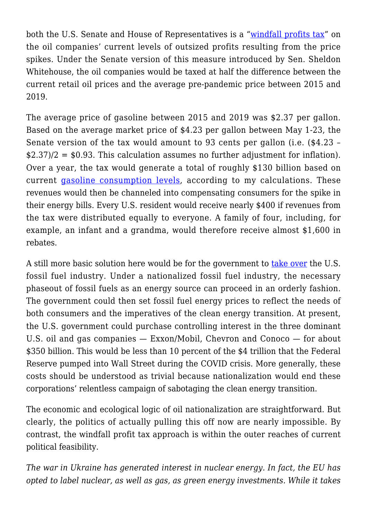both the U.S. Senate and House of Representatives is a "[windfall profits tax"](https://thehill.com/policy/energy-environment/3471820-progressives-seize-on-quarterly-oil-profits-to-call-for-windfall-tax/) on the oil companies' current levels of outsized profits resulting from the price spikes. Under the Senate version of this measure introduced by Sen. Sheldon Whitehouse, the oil companies would be taxed at half the difference between the current retail oil prices and the average pre-pandemic price between 2015 and 2019.

The average price of gasoline between 2015 and 2019 was \$2.37 per gallon. Based on the average market price of \$4.23 per gallon between May 1-23, the Senate version of the tax would amount to 93 cents per gallon (i.e. (\$4.23 –  $\text{\$2.37\}/2 = \text{\$0.93.}$  This calculation assumes no further adjustment for inflation). Over a year, the tax would generate a total of roughly \$130 billion based on current [gasoline consumption levels](https://www.eia.gov/tools/faqs/faq.php?id=23&t=10), according to my calculations. These revenues would then be channeled into compensating consumers for the spike in their energy bills. Every U.S. resident would receive nearly \$400 if revenues from the tax were distributed equally to everyone. A family of four, including, for example, an infant and a grandma, would therefore receive almost \$1,600 in rebates.

A still more basic solution here would be for the government to [take over](https://prospect.org/environment/nationalize-us-fossil-fuel-industry-to-save-the-planet/) the U.S. fossil fuel industry. Under a nationalized fossil fuel industry, the necessary phaseout of fossil fuels as an energy source can proceed in an orderly fashion. The government could then set fossil fuel energy prices to reflect the needs of both consumers and the imperatives of the clean energy transition. At present, the U.S. government could purchase controlling interest in the three dominant U.S. oil and gas companies — Exxon/Mobil, Chevron and Conoco — for about \$350 billion. This would be less than 10 percent of the \$4 trillion that the Federal Reserve pumped into Wall Street during the COVID crisis. More generally, these costs should be understood as trivial because nationalization would end these corporations' relentless campaign of sabotaging the clean energy transition.

The economic and ecological logic of oil nationalization are straightforward. But clearly, the politics of actually pulling this off now are nearly impossible. By contrast, the windfall profit tax approach is within the outer reaches of current political feasibility.

*The war in Ukraine has generated interest in nuclear energy. In fact, the EU has opted to label nuclear, as well as gas, as green energy investments. While it takes*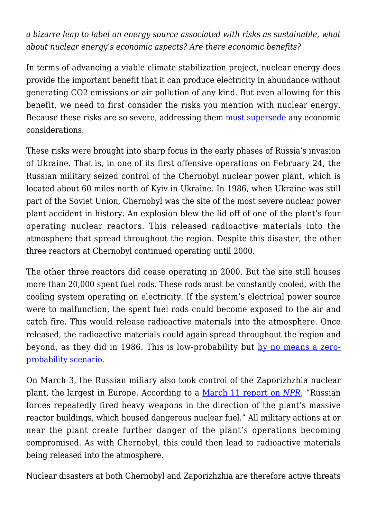*a bizarre leap to label an energy source associated with risks as sustainable, what about nuclear energy's economic aspects? Are there economic benefits?*

In terms of advancing a viable climate stabilization project, nuclear energy does provide the important benefit that it can produce electricity in abundance without generating CO2 emissions or air pollution of any kind. But even allowing for this benefit, we need to first consider the risks you mention with nuclear energy. Because these risks are so severe, addressing them [must supersede](http://dollarsandsense.org/archives/2022/0322pollin.html) any economic considerations.

These risks were brought into sharp focus in the early phases of Russia's invasion of Ukraine. That is, in one of its first offensive operations on February 24, the Russian military seized control of the Chernobyl nuclear power plant, which is located about 60 miles north of Kyiv in Ukraine. In 1986, when Ukraine was still part of the Soviet Union, Chernobyl was the site of the most severe nuclear power plant accident in history. An explosion blew the lid off of one of the plant's four operating nuclear reactors. This released radioactive materials into the atmosphere that spread throughout the region. Despite this disaster, the other three reactors at Chernobyl continued operating until 2000.

The other three reactors did cease operating in 2000. But the site still houses more than 20,000 spent fuel rods. These rods must be constantly cooled, with the cooling system operating on electricity. If the system's electrical power source were to malfunction, the spent fuel rods could become exposed to the air and catch fire. This would release radioactive materials into the atmosphere. Once released, the radioactive materials could again spread throughout the region and beyond, as they did in 1986. This is low-probability but [by no means a zero](https://abcnews.go.com/US/wireStory/explainer-latest-scare-chernobyl-plant-83347925)[probability scenario.](https://abcnews.go.com/US/wireStory/explainer-latest-scare-chernobyl-plant-83347925)

On March 3, the Russian miliary also took control of the Zaporizhzhia nuclear plant, the largest in Europe. According to a [March 11 report on](https://www.npr.org/2022/03/04/1084477966/nuclear-power-plant-zaporizhzhia-ukraine) *[NPR](https://www.npr.org/2022/03/04/1084477966/nuclear-power-plant-zaporizhzhia-ukraine)*, "Russian forces repeatedly fired heavy weapons in the direction of the plant's massive reactor buildings, which housed dangerous nuclear fuel." All military actions at or near the plant create further danger of the plant's operations becoming compromised. As with Chernobyl, this could then lead to radioactive materials being released into the atmosphere.

Nuclear disasters at both Chernobyl and Zaporizhzhia are therefore active threats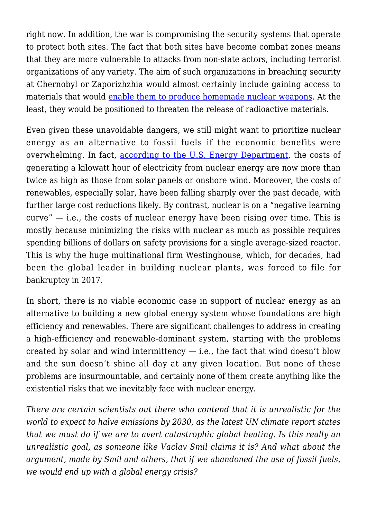right now. In addition, the war is compromising the security systems that operate to protect both sites. The fact that both sites have become combat zones means that they are more vulnerable to attacks from non-state actors, including terrorist organizations of any variety. The aim of such organizations in breaching security at Chernobyl or Zaporizhzhia would almost certainly include gaining access to materials that would [enable them to produce homemade nuclear weapons.](https://www.jstor.org/stable/25097844) At the least, they would be positioned to threaten the release of radioactive materials.

Even given these unavoidable dangers, we still might want to prioritize nuclear energy as an alternative to fossil fuels if the economic benefits were overwhelming. In fact, [according to the U.S. Energy Department,](https://www.eia.gov/outlooks/aeo/pdf/electricity_generation.pdf) the costs of generating a kilowatt hour of electricity from nuclear energy are now more than twice as high as those from solar panels or onshore wind. Moreover, the costs of renewables, especially solar, have been falling sharply over the past decade, with further large cost reductions likely. By contrast, nuclear is on a "negative learning  $curve'' - i.e.,$  the costs of nuclear energy have been rising over time. This is mostly because minimizing the risks with nuclear as much as possible requires spending billions of dollars on safety provisions for a single average-sized reactor. This is why the huge multinational firm Westinghouse, which, for decades, had been the global leader in building nuclear plants, was forced to file for bankruptcy in 2017.

In short, there is no viable economic case in support of nuclear energy as an alternative to building a new global energy system whose foundations are high efficiency and renewables. There are significant challenges to address in creating a high-efficiency and renewable-dominant system, starting with the problems created by solar and wind intermittency  $-$  i.e., the fact that wind doesn't blow and the sun doesn't shine all day at any given location. But none of these problems are insurmountable, and certainly none of them create anything like the existential risks that we inevitably face with nuclear energy.

*There are certain scientists out there who contend that it is unrealistic for the world to expect to halve emissions by 2030, as the latest UN climate report states that we must do if we are to avert catastrophic global heating. Is this really an unrealistic goal, as someone like Vaclav Smil claims it is? And what about the argument, made by Smil and others, that if we abandoned the use of fossil fuels, we would end up with a global energy crisis?*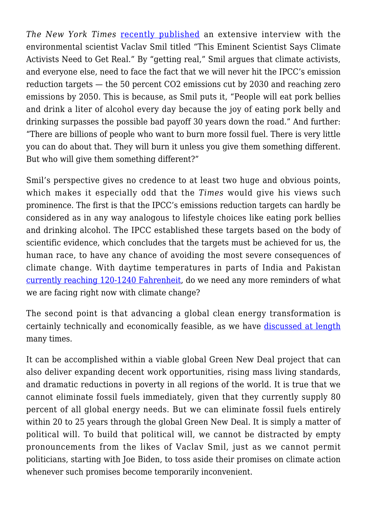*The New York Times* [recently published](https://www.nytimes.com/interactive/2022/04/25/magazine/vaclav-smil-interview.html) an extensive interview with the environmental scientist Vaclav Smil titled "This Eminent Scientist Says Climate Activists Need to Get Real." By "getting real," Smil argues that climate activists, and everyone else, need to face the fact that we will never hit the IPCC's emission reduction targets — the 50 percent CO2 emissions cut by 2030 and reaching zero emissions by 2050. This is because, as Smil puts it, "People will eat pork bellies and drink a liter of alcohol every day because the joy of eating pork belly and drinking surpasses the possible bad payoff 30 years down the road." And further: "There are billions of people who want to burn more fossil fuel. There is very little you can do about that. They will burn it unless you give them something different. But who will give them something different?"

Smil's perspective gives no credence to at least two huge and obvious points, which makes it especially odd that the *Times* would give his views such prominence. The first is that the IPCC's emissions reduction targets can hardly be considered as in any way analogous to lifestyle choices like eating pork bellies and drinking alcohol. The IPCC established these targets based on the body of scientific evidence, which concludes that the targets must be achieved for us, the human race, to have any chance of avoiding the most severe consequences of climate change. With daytime temperatures in parts of India and Pakistan [currently reaching 120-1240 Fahrenheit,](https://www.bbc.com/news/world-asia-india-61242341) do we need any more reminders of what we are facing right now with climate change?

The second point is that advancing a global clean energy transformation is certainly technically and economically feasible, as we have [discussed at length](https://www.versobooks.com/books/3239-climate-crisis-and-the-global-green-new-deal) many times.

It can be accomplished within a viable global Green New Deal project that can also deliver expanding decent work opportunities, rising mass living standards, and dramatic reductions in poverty in all regions of the world. It is true that we cannot eliminate fossil fuels immediately, given that they currently supply 80 percent of all global energy needs. But we can eliminate fossil fuels entirely within 20 to 25 years through the global Green New Deal. It is simply a matter of political will. To build that political will, we cannot be distracted by empty pronouncements from the likes of Vaclav Smil, just as we cannot permit politicians, starting with Joe Biden, to toss aside their promises on climate action whenever such promises become temporarily inconvenient.